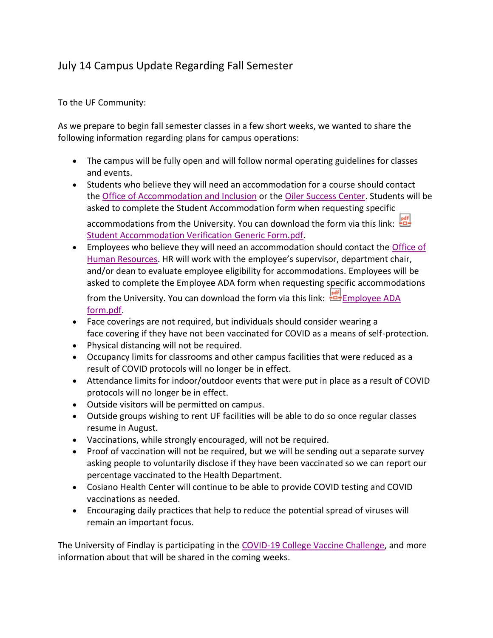## July 14 Campus Update Regarding Fall Semester

To the UF Community:

As we prepare to begin fall semester classes in a few short weeks, we wanted to share the following information regarding plans for campus operations:

- The campus will be fully open and will follow normal operating guidelines for classes and events.
- Students who believe they will need an accommodation for a course should contact the [Office of Accommodation and Inclusion](https://www.findlay.edu/offices/student-affairs/accommodation-and-inclusion) or the [Oiler Success Center.](https://www.findlay.edu/offices/student-affairs/oiler-success-center) Students will be asked to complete the Student Accommodation form when requesting specific accommodations from the University. You can download the form via this link:  $\frac{|\mathbf{a}\cdot\mathbf{f}|}{2}$

[Student Accommodation Verification Generic Form.pdf.](https://www.findlay.edu/oiler-start-safe-and-stay-safe/Documents/Student%20Accommodation%20Verification%20Generic%20Form.pdf)

• Employees who believe they will need an accommodation should contact the [Office of](https://www.findlay.edu/offices/business-affairs/human-resources)  [Human Resources](https://www.findlay.edu/offices/business-affairs/human-resources). HR will work with the employee's supervisor, department chair, and/or dean to evaluate employee eligibility for accommodations. Employees will be asked to complete the Employee ADA form when requesting specific accommodations

from the University. You can download the form via this link: **EMPLA** Employee ADA [form.pdf.](https://www.findlay.edu/oiler-start-safe-and-stay-safe/Documents/Employee%20ADA%20form.pdf)

- Face coverings are not required, but individuals should consider wearing a face covering if they have not been vaccinated for COVID as a means of self-protection.
- Physical distancing will not be required.
- Occupancy limits for classrooms and other campus facilities that were reduced as a result of COVID protocols will no longer be in effect.
- Attendance limits for indoor/outdoor events that were put in place as a result of COVID protocols will no longer be in effect.
- Outside visitors will be permitted on campus.
- Outside groups wishing to rent UF facilities will be able to do so once regular classes resume in August.
- Vaccinations, while strongly encouraged, will not be required.
- Proof of vaccination will not be required, but we will be sending out a separate survey asking people to voluntarily disclose if they have been vaccinated so we can report our percentage vaccinated to the Health Department.
- Cosiano Health Center will continue to be able to provide COVID testing and COVID vaccinations as needed.
- Encouraging daily practices that help to reduce the potential spread of viruses will remain an important focus.

The University of Findlay is participating in the [COVID-19 College Vaccine Challenge,](https://www.whitehouse.gov/COVIDCollegeChallenge/) and more information about that will be shared in the coming weeks.